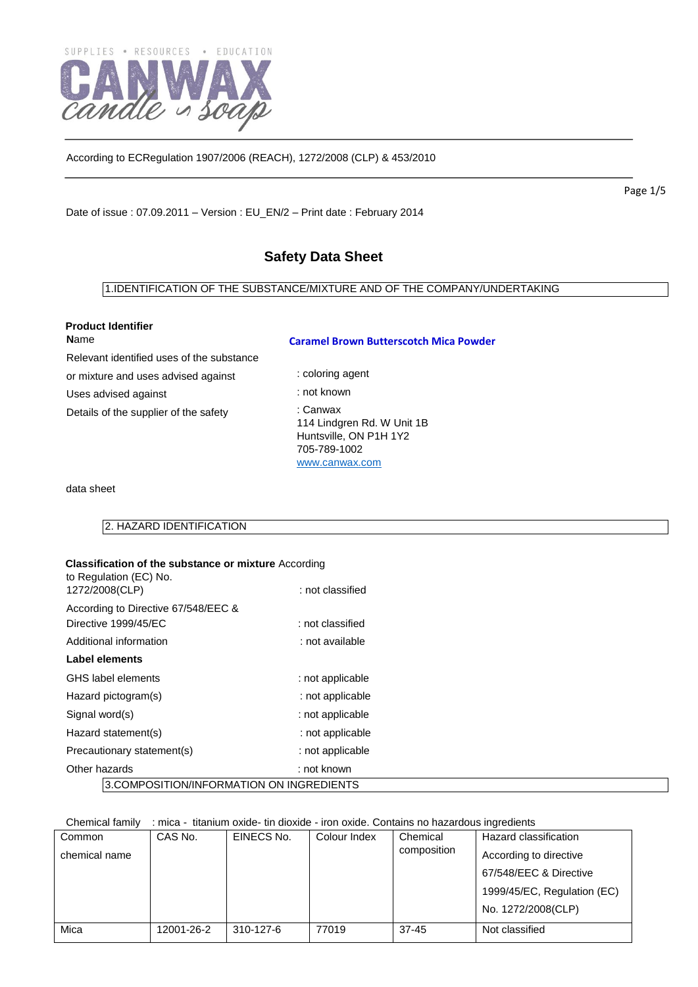

Date of issue : 07.09.2011 – Version : EU\_EN/2 – Print date : February 2014

# **Safety Data Sheet**

# 1.IDENTIFICATION OF THE SUBSTANCE/MIXTURE AND OF THE COMPANY/UNDERTAKING

: coloring agent

|              | <b>Product Identifier</b> |
|--------------|---------------------------|
| <b>N</b> ame |                           |

### **Caramel Brown Butterscotch Mica Powder**

Relevant identified uses of the substance

or mixture and uses advised against

Uses advised against

Details of the supplier of the safety

: not known : Canwax 114 Lindgren Rd. W Unit 1B Huntsville, ON P1H 1Y2 705-789-1002 [www.canwax.com](http://www.canwax.com/)

data sheet

2. HAZARD IDENTIFICATION

| <b>Classification of the substance or mixture According</b><br>to Regulation (EC) No.<br>1272/2008(CLP) | : not classified |  |
|---------------------------------------------------------------------------------------------------------|------------------|--|
| According to Directive 67/548/EEC &                                                                     |                  |  |
| Directive 1999/45/EC                                                                                    | : not classified |  |
| Additional information                                                                                  | : not available  |  |
| Label elements                                                                                          |                  |  |
| GHS label elements                                                                                      | : not applicable |  |
| Hazard pictogram(s)                                                                                     | : not applicable |  |
| Signal word(s)                                                                                          | : not applicable |  |
| Hazard statement(s)                                                                                     | : not applicable |  |
| Precautionary statement(s)                                                                              | : not applicable |  |
| Other hazards                                                                                           | : not known      |  |
| 3.COMPOSITION/INFORMATION ON INGREDIENTS                                                                |                  |  |

Chemical family : mica - titanium oxide- tin dioxide - iron oxide. Contains no hazardous ingredients

| Common        | CAS No.    | EINECS No. | Colour Index | Chemical    | Hazard classification       |
|---------------|------------|------------|--------------|-------------|-----------------------------|
| chemical name |            |            |              | composition | According to directive      |
|               |            |            |              |             | 67/548/EEC & Directive      |
|               |            |            |              |             | 1999/45/EC, Regulation (EC) |
|               |            |            |              |             | No. 1272/2008(CLP)          |
| Mica          | 12001-26-2 | 310-127-6  | 77019        | $37 - 45$   | Not classified              |

Page 1/5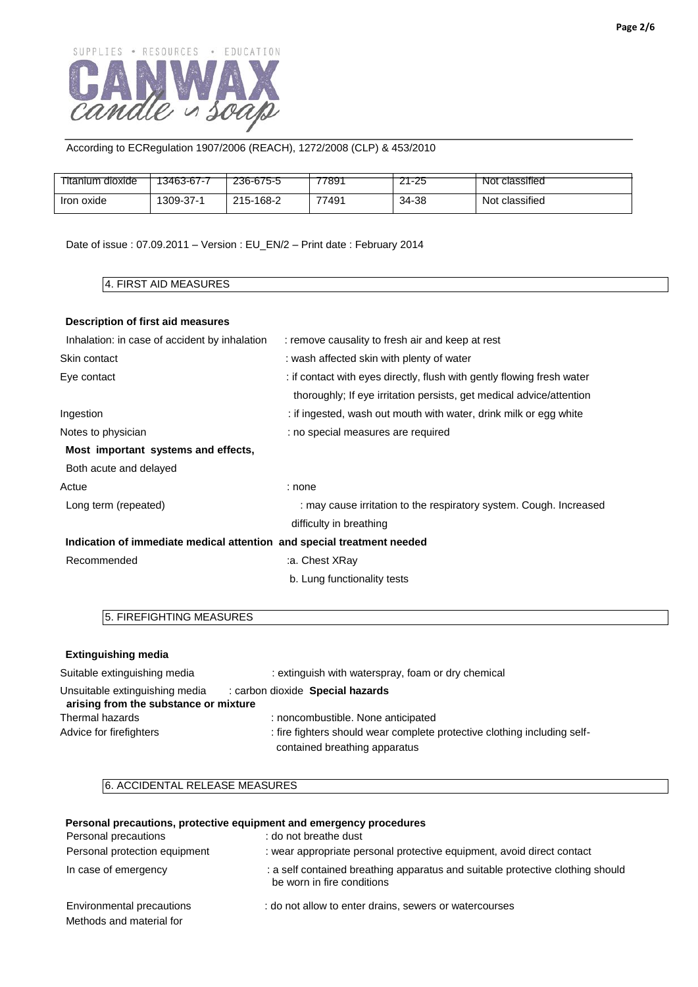

| l itanium dioxide    | $\cdots$<br>13463-67-7 | --- --- -<br>236-675-5 | -----<br>7891 | $  -$<br>-25 | .<br>classified<br>Not        |
|----------------------|------------------------|------------------------|---------------|--------------|-------------------------------|
| <b>Iron</b><br>oxide | 1309-37-1              | $-168-2$<br>$215 -$    | 77491         | 34-38        | $\cdots$<br>Not<br>classified |

Date of issue : 07.09.2011 – Version : EU\_EN/2 – Print date : February 2014

### 4. FIRST AID MEASURES

### **Description of first aid measures**

| Inhalation: in case of accident by inhalation                          | : remove causality to fresh air and keep at rest                       |
|------------------------------------------------------------------------|------------------------------------------------------------------------|
| Skin contact                                                           | : wash affected skin with plenty of water                              |
| Eye contact                                                            | : if contact with eyes directly, flush with gently flowing fresh water |
|                                                                        | thoroughly; If eye irritation persists, get medical advice/attention   |
| Ingestion                                                              | : if ingested, wash out mouth with water, drink milk or egg white      |
| Notes to physician                                                     | : no special measures are required                                     |
| Most important systems and effects,                                    |                                                                        |
| Both acute and delayed                                                 |                                                                        |
| Actue                                                                  | : none                                                                 |
| Long term (repeated)                                                   | : may cause irritation to the respiratory system. Cough. Increased     |
|                                                                        | difficulty in breathing                                                |
| Indication of immediate medical attention and special treatment needed |                                                                        |
| Recommended                                                            | a. Chest XRay:                                                         |
|                                                                        | b. Lung functionality tests                                            |
|                                                                        |                                                                        |

# 5. FIREFIGHTING MEASURES

| <b>Extinguishing media</b>                                              |                                                                                                           |
|-------------------------------------------------------------------------|-----------------------------------------------------------------------------------------------------------|
| Suitable extinguishing media                                            | : extinguish with waterspray, foam or dry chemical                                                        |
| Unsuitable extinguishing media<br>arising from the substance or mixture | : carbon dioxide Special hazards                                                                          |
| Thermal hazards                                                         | : noncombustible. None anticipated                                                                        |
| Advice for firefighters                                                 | : fire fighters should wear complete protective clothing including self-<br>contained breathing apparatus |

### 6. ACCIDENTAL RELEASE MEASURES

### **Personal precautions, protective equipment and emergency procedures**

Personal precautions : do not breathe dust Personal protection equipment : wear appropriate personal protective equipment, avoid direct contact In case of emergency **interpretting apparatus** : a self contained breathing apparatus and suitable protective clothing should be worn in fire conditions Environmental precautions : do not allow to enter drains, sewers or watercourses Methods and material for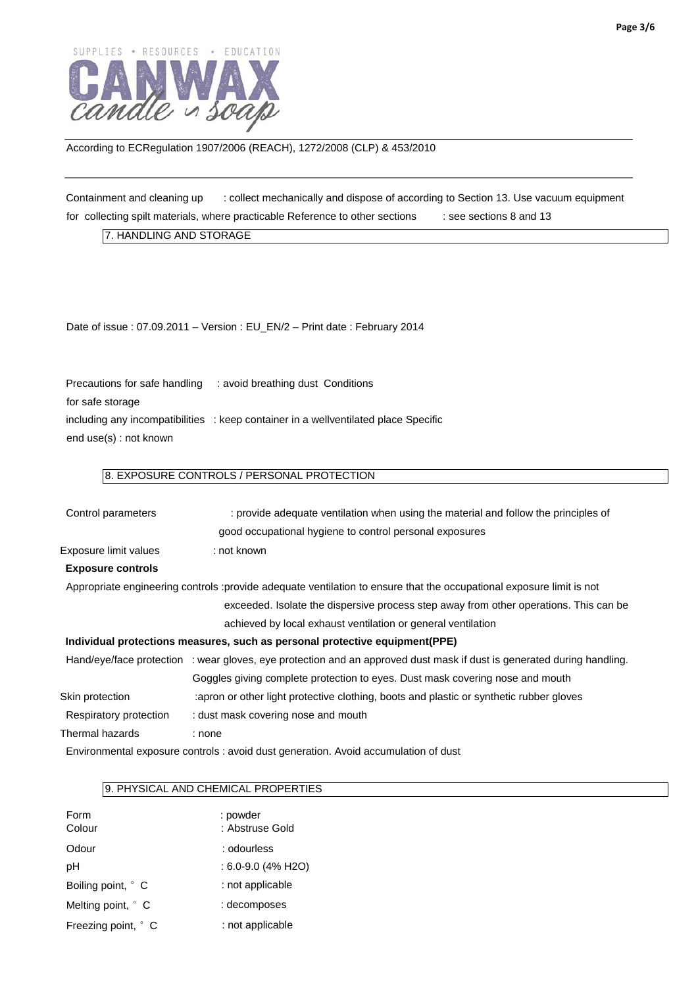

Containment and cleaning up : collect mechanically and dispose of according to Section 13. Use vacuum equipment for collecting spilt materials, where practicable Reference to other sections  $\qquad$  : see sections 8 and 13

7. HANDLING AND STORAGE

Date of issue : 07.09.2011 – Version : EU\_EN/2 – Print date : February 2014

Precautions for safe handling : avoid breathing dust Conditions for safe storage including any incompatibilities : keep container in a wellventilated place Specific end use(s) : not known

# 8. EXPOSURE CONTROLS / PERSONAL PROTECTION

| Control parameters       | : provide adequate ventilation when using the material and follow the principles of                                    |
|--------------------------|------------------------------------------------------------------------------------------------------------------------|
|                          | good occupational hygiene to control personal exposures                                                                |
| Exposure limit values    | : not known                                                                                                            |
| <b>Exposure controls</b> |                                                                                                                        |
|                          | Appropriate engineering controls :provide adequate ventilation to ensure that the occupational exposure limit is not   |
|                          | exceeded. Isolate the dispersive process step away from other operations. This can be                                  |
|                          | achieved by local exhaust ventilation or general ventilation                                                           |
|                          | Individual protections measures, such as personal protective equipment (PPE)                                           |
|                          | Hand/eye/face protection : wear gloves, eye protection and an approved dust mask if dust is generated during handling. |
|                          | Goggles giving complete protection to eyes. Dust mask covering nose and mouth                                          |
| Skin protection          | apron or other light protective clothing, boots and plastic or synthetic rubber gloves                                 |
| Respiratory protection   | : dust mask covering nose and mouth                                                                                    |
| Thermal hazards          | : none                                                                                                                 |
|                          | Environmental exposure controls : avoid dust generation. Avoid accumulation of dust                                    |
|                          |                                                                                                                        |

### 9. PHYSICAL AND CHEMICAL PROPERTIES

| Form<br>Colour      | : powder<br>: Abstruse Gold |
|---------------------|-----------------------------|
| Odour               | : odourless                 |
| рH                  | : 6.0-9.0 (4% H2O)          |
| Boiling point, ° C  | : not applicable            |
| Melting point, ° C  | : decomposes                |
| Freezing point, ° C | : not applicable            |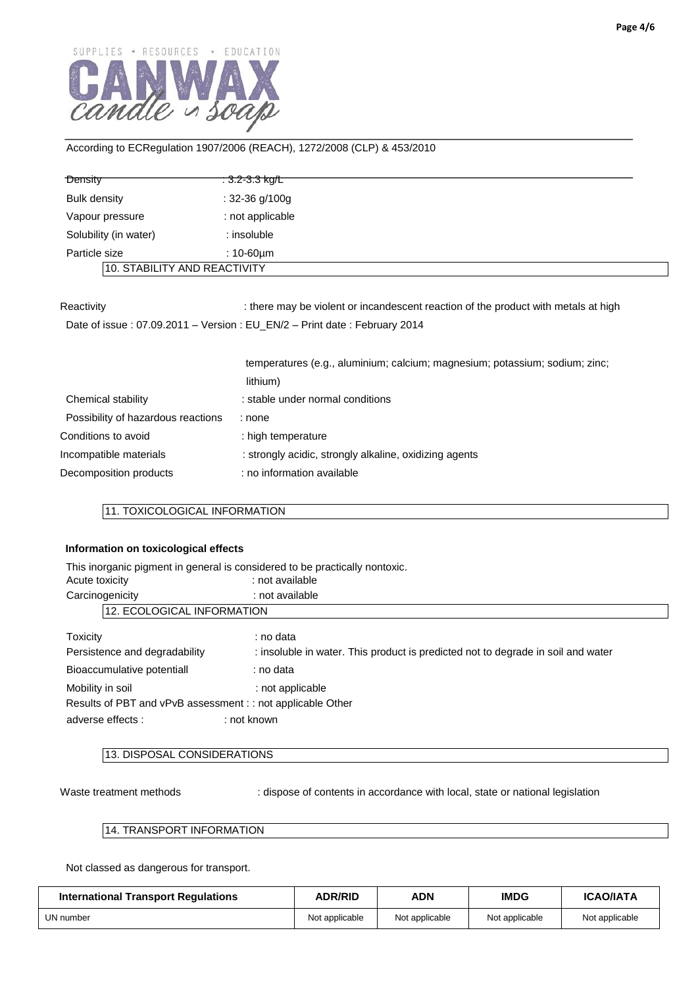

| Density                      | <del>: 3.2-3.3 kg/L</del> |
|------------------------------|---------------------------|
| <b>Bulk density</b>          | : $32-36$ g/100g          |
| Vapour pressure              | : not applicable          |
| Solubility (in water)        | : insoluble               |
| Particle size                | : 10-60µm                 |
| 10. STABILITY AND REACTIVITY |                           |

Reactivity : there may be violent or incandescent reaction of the product with metals at high

Date of issue : 07.09.2011 – Version : EU\_EN/2 – Print date : February 2014

|                                    | temperatures (e.g., aluminium; calcium; magnesium; potassium; sodium; zinc; |
|------------------------------------|-----------------------------------------------------------------------------|
|                                    | lithium)                                                                    |
| Chemical stability                 | : stable under normal conditions                                            |
| Possibility of hazardous reactions | : none                                                                      |
| Conditions to avoid                | : high temperature                                                          |
| Incompatible materials             | : strongly acidic, strongly alkaline, oxidizing agents                      |
| Decomposition products             | : no information available                                                  |

## 11. TOXICOLOGICAL INFORMATION

### **Information on toxicological effects**

|                                                             | This inorganic pigment in general is considered to be practically nontoxic.      |  |  |
|-------------------------------------------------------------|----------------------------------------------------------------------------------|--|--|
| Acute toxicity                                              | : not available                                                                  |  |  |
| Carcinogenicity                                             | : not available                                                                  |  |  |
| 12. ECOLOGICAL INFORMATION                                  |                                                                                  |  |  |
| Toxicity                                                    | : no data                                                                        |  |  |
| Persistence and degradability                               | : insoluble in water. This product is predicted not to degrade in soil and water |  |  |
| Bioaccumulative potentiall                                  | : no data                                                                        |  |  |
| Mobility in soil                                            | : not applicable                                                                 |  |  |
| Results of PBT and vPvB assessment : : not applicable Other |                                                                                  |  |  |
| adverse effects :                                           | : not known                                                                      |  |  |

# 13. DISPOSAL CONSIDERATIONS

Waste treatment methods : dispose of contents in accordance with local, state or national legislation

### 14. TRANSPORT INFORMATION

Not classed as dangerous for transport.

| <b>International Transport Regulations</b> | <b>ADR/RID</b> | <b>ADN</b>     | <b>IMDG</b>    | <b>ICAO/IATA</b> |
|--------------------------------------------|----------------|----------------|----------------|------------------|
| UN number                                  | Not applicable | Not applicable | Not applicable | Not applicable   |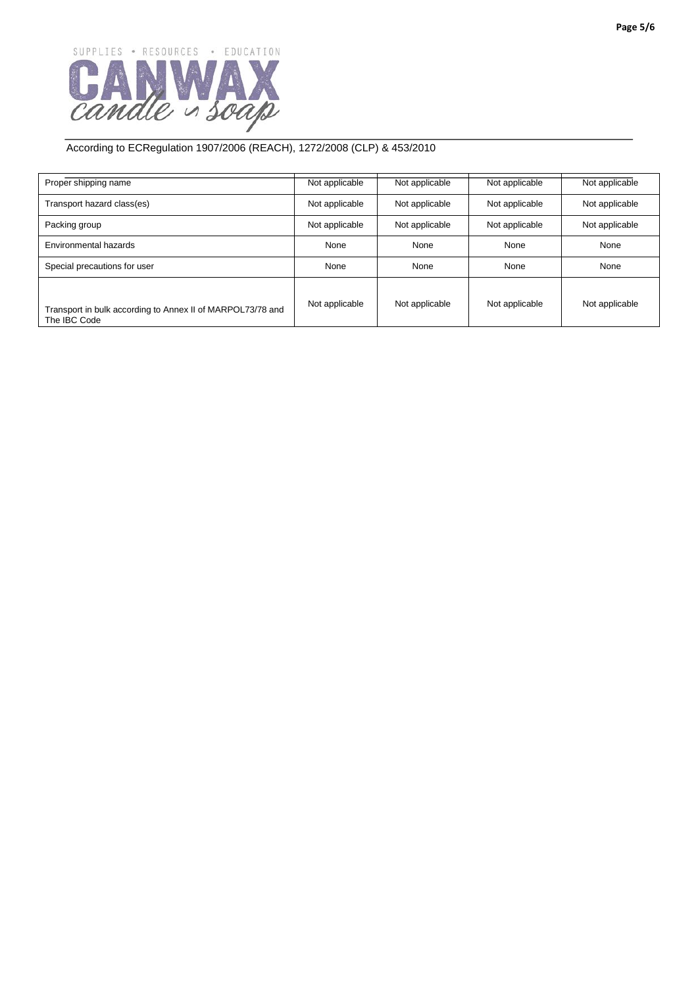

| Proper shipping name                                                       | Not applicable | Not applicable | Not applicable | Not applicable |
|----------------------------------------------------------------------------|----------------|----------------|----------------|----------------|
| Transport hazard class(es)                                                 | Not applicable | Not applicable | Not applicable | Not applicable |
| Packing group                                                              | Not applicable | Not applicable | Not applicable | Not applicable |
| Environmental hazards                                                      | None           | None           | None           | None           |
| Special precautions for user                                               | None           | None           | None           | None           |
| Transport in bulk according to Annex II of MARPOL73/78 and<br>The IBC Code | Not applicable | Not applicable | Not applicable | Not applicable |